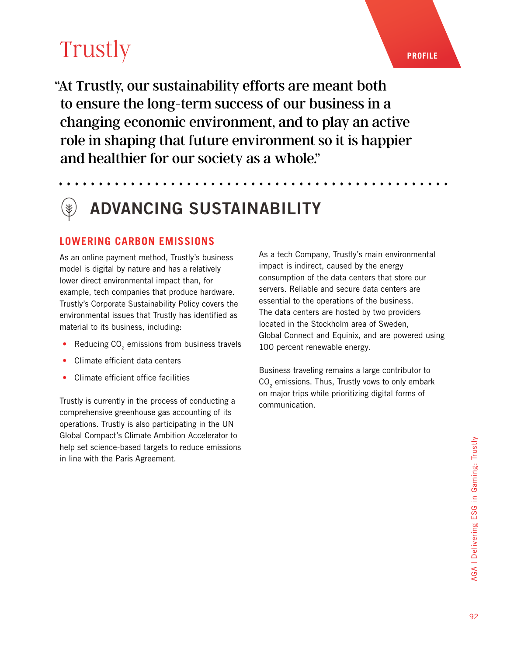"At Trustly, our sustainability efforts are meant both to ensure the long-term success of our business in a changing economic environment, and to play an active role in shaping that future environment so it is happier and healthier for our society as a whole."

## ADVANCING SUSTAINABILITY

### **LOWERING CARBON EMISSIONS**

As an online payment method, Trustly's business model is digital by nature and has a relatively lower direct environmental impact than, for example, tech companies that produce hardware. Trustly's Corporate Sustainability Policy covers the environmental issues that Trustly has identified as material to its business, including:

- Reducing  $CO<sub>2</sub>$  emissions from business travels
- Climate efficient data centers
- Climate efficient office facilities

Trustly is currently in the process of conducting a comprehensive greenhouse gas accounting of its operations. Trustly is also participating in the UN Global Compact's Climate Ambition Accelerator to help set science-based targets to reduce emissions in line with the Paris Agreement.

As a tech Company, Trustly's main environmental impact is indirect, caused by the energy consumption of the data centers that store our servers. Reliable and secure data centers are essential to the operations of the business. The data centers are hosted by two providers located in the Stockholm area of Sweden, Global Connect and Equinix, and are powered using 100 percent renewable energy.

Business traveling remains a large contributor to  $CO<sub>2</sub>$  emissions. Thus, Trustly vows to only embark on major trips while prioritizing digital forms of communication.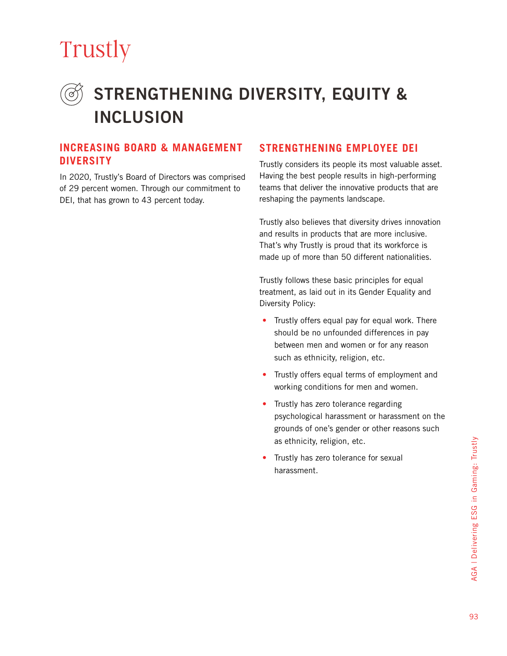### STRENGTHENING DIVERSITY, EQUITY & INCLUSION

#### **INCREASING BOARD & MANAGEMENT DIVERSITY**

In 2020, Trustly's Board of Directors was comprised of 29 percent women. Through our commitment to DEI, that has grown to 43 percent today.

### **STRENGTHENING EMPLOYEE DEI**

Trustly considers its people its most valuable asset. Having the best people results in high-performing teams that deliver the innovative products that are reshaping the payments landscape.

Trustly also believes that diversity drives innovation and results in products that are more inclusive. That's why Trustly is proud that its workforce is made up of more than 50 different nationalities.

Trustly follows these basic principles for equal treatment, as laid out in its Gender Equality and Diversity Policy:

- Trustly offers equal pay for equal work. There should be no unfounded differences in pay between men and women or for any reason such as ethnicity, religion, etc.
- Trustly offers equal terms of employment and working conditions for men and women.
- Trustly has zero tolerance regarding psychological harassment or harassment on the grounds of one's gender or other reasons such as ethnicity, religion, etc.
- Trustly has zero tolerance for sexual harassment.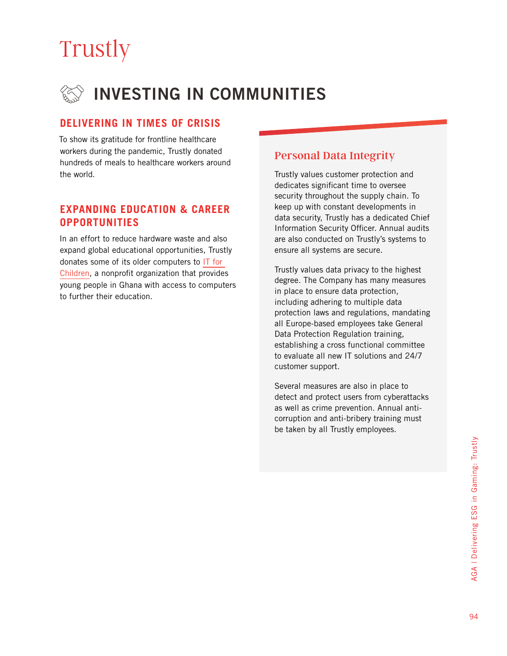### INVESTING IN COMMUNITIES

### **DELIVERING IN TIMES OF CRISIS**

To show its gratitude for frontline healthcare workers during the pandemic, Trustly donated hundreds of meals to healthcare workers around the world.

#### **EXPANDING EDUCATION & CAREER OPPORTUNITIES**

In an effort to reduce hardware waste and also expand global educational opportunities, Trustly donates some of its older computers to [IT for](https://itforchildren.org)  [Children](https://itforchildren.org), a nonprofit organization that provides young people in Ghana with access to computers to further their education.

### Personal Data Integrity

Trustly values customer protection and dedicates significant time to oversee security throughout the supply chain. To keep up with constant developments in data security, Trustly has a dedicated Chief Information Security Officer. Annual audits are also conducted on Trustly's systems to ensure all systems are secure.

Trustly values data privacy to the highest degree. The Company has many measures in place to ensure data protection, including adhering to multiple data protection laws and regulations, mandating all Europe-based employees take General Data Protection Regulation training, establishing a cross functional committee to evaluate all new IT solutions and 24/7 customer support.

Several measures are also in place to detect and protect users from cyberattacks as well as crime prevention. Annual anticorruption and anti-bribery training must be taken by all Trustly employees.